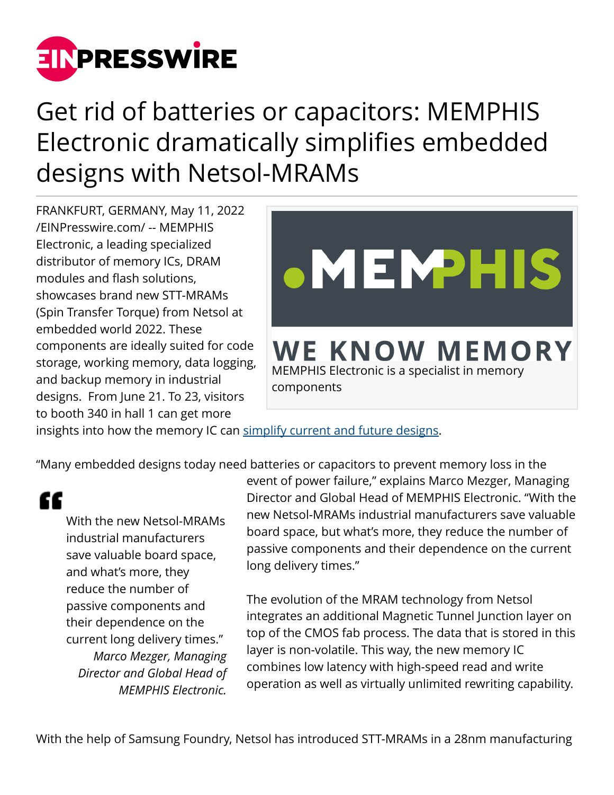

## Get rid of batteries or capacitors: MEMPHIS Electronic dramatically simplifies embedded designs with Netsol-MRAMs

FRANKFURT, GERMANY, May 11, 2022 [/EINPresswire.com/](http://www.einpresswire.com) -- MEMPHIS Electronic, a leading specialized distributor of memory ICs, DRAM modules and flash solutions, showcases brand new STT-MRAMs (Spin Transfer Torque) from Netsol at embedded world 2022. These components are ideally suited for code storage, working memory, data logging, and backup memory in industrial designs. From June 21. To 23, visitors to booth 340 in hall 1 can get more



insights into how the memory IC can [simplify current and future designs.](https://www.memphis.de/fileadmin/user_upload/swscore/MEMPHIS-Netsol-STT-MRAM_graphic.jpg)

"Many embedded designs today need batteries or capacitors to prevent memory loss in the

"

With the new Netsol-MRAMs industrial manufacturers save valuable board space, and what's more, they reduce the number of passive components and their dependence on the current long delivery times." *Marco Mezger, Managing Director and Global Head of MEMPHIS Electronic.*

event of power failure," explains Marco Mezger, Managing Director and Global Head of MEMPHIS Electronic. "With the new Netsol-MRAMs industrial manufacturers save valuable board space, but what's more, they reduce the number of passive components and their dependence on the current long delivery times."

The evolution of the MRAM technology from Netsol integrates an additional Magnetic Tunnel Junction layer on top of the CMOS fab process. The data that is stored in this layer is non-volatile. This way, the new memory IC combines low latency with high-speed read and write operation as well as virtually unlimited rewriting capability.